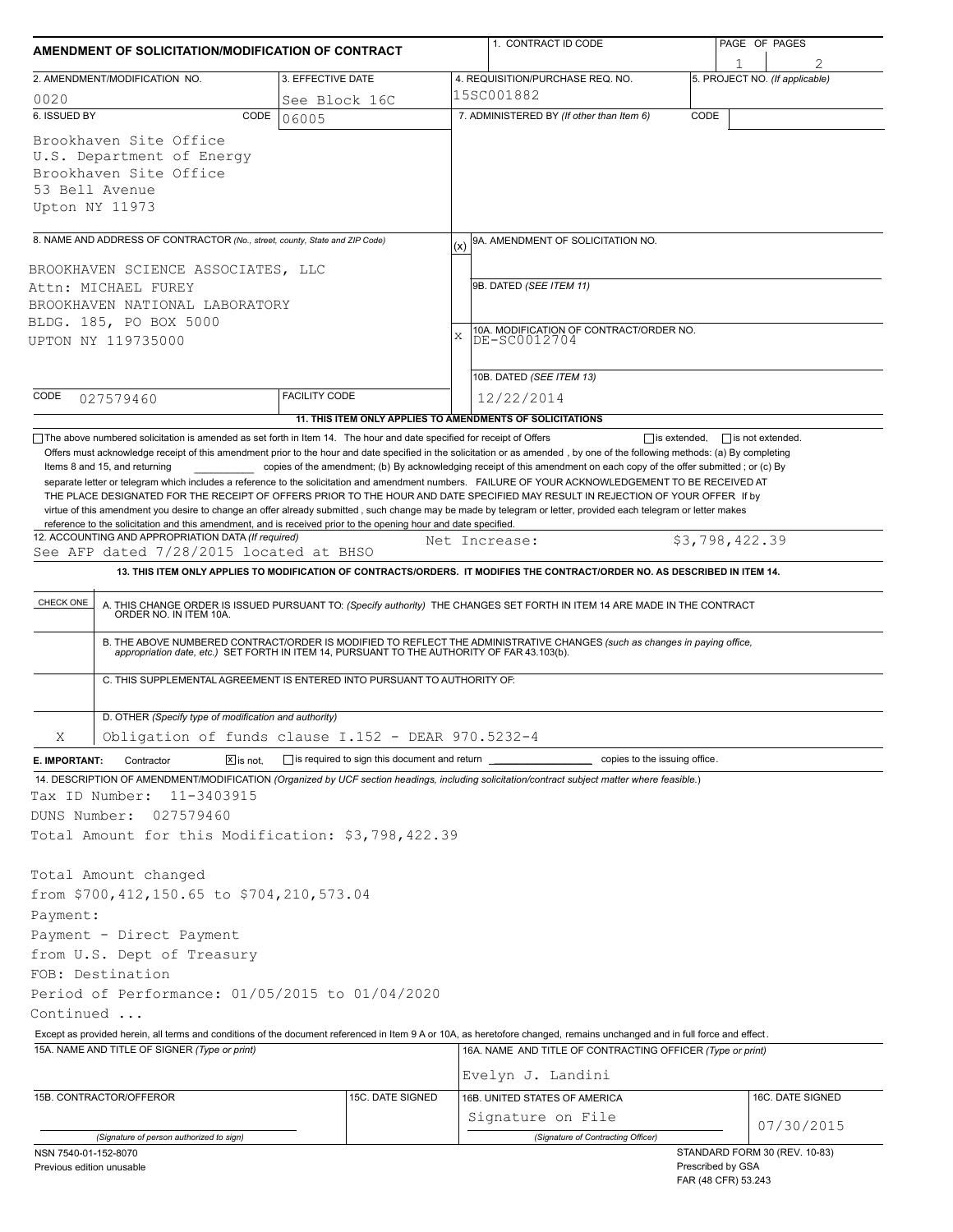| AMENDMENT OF SOLICITATION/MODIFICATION OF CONTRACT                                                                                                                                                             |                                                                          | 1. CONTRACT ID CODE                                                                                                                                                                                                                                                                                                                                                                                                                                                                                      | PAGE OF PAGES                                                             |  |  |  |  |
|----------------------------------------------------------------------------------------------------------------------------------------------------------------------------------------------------------------|--------------------------------------------------------------------------|----------------------------------------------------------------------------------------------------------------------------------------------------------------------------------------------------------------------------------------------------------------------------------------------------------------------------------------------------------------------------------------------------------------------------------------------------------------------------------------------------------|---------------------------------------------------------------------------|--|--|--|--|
| 2. AMENDMENT/MODIFICATION NO.                                                                                                                                                                                  | 3. EFFECTIVE DATE                                                        | 4. REQUISITION/PURCHASE REQ. NO.                                                                                                                                                                                                                                                                                                                                                                                                                                                                         | 5. PROJECT NO. (If applicable)                                            |  |  |  |  |
| 0020                                                                                                                                                                                                           | See Block 16C                                                            | 15SC001882                                                                                                                                                                                                                                                                                                                                                                                                                                                                                               |                                                                           |  |  |  |  |
| 6. ISSUED BY<br>CODE                                                                                                                                                                                           | 06005                                                                    | 7. ADMINISTERED BY (If other than Item 6)                                                                                                                                                                                                                                                                                                                                                                                                                                                                | CODE                                                                      |  |  |  |  |
| Brookhaven Site Office<br>U.S. Department of Energy<br>Brookhaven Site Office<br>53 Bell Avenue<br>Upton NY 11973                                                                                              |                                                                          |                                                                                                                                                                                                                                                                                                                                                                                                                                                                                                          |                                                                           |  |  |  |  |
| 8. NAME AND ADDRESS OF CONTRACTOR (No., street, county, State and ZIP Code)                                                                                                                                    |                                                                          | 9A. AMENDMENT OF SOLICITATION NO.<br>(x)                                                                                                                                                                                                                                                                                                                                                                                                                                                                 |                                                                           |  |  |  |  |
| BROOKHAVEN SCIENCE ASSOCIATES, LLC<br>Attn: MICHAEL FUREY<br>BROOKHAVEN NATIONAL LABORATORY<br>BLDG. 185, PO BOX 5000<br>UPTON NY 119735000                                                                    |                                                                          | 9B. DATED (SEE ITEM 11)<br>10A. MODIFICATION OF CONTRACT/ORDER NO.<br>X<br>DE-SC0012704                                                                                                                                                                                                                                                                                                                                                                                                                  |                                                                           |  |  |  |  |
|                                                                                                                                                                                                                |                                                                          |                                                                                                                                                                                                                                                                                                                                                                                                                                                                                                          |                                                                           |  |  |  |  |
|                                                                                                                                                                                                                |                                                                          | 10B. DATED (SEE ITEM 13)                                                                                                                                                                                                                                                                                                                                                                                                                                                                                 |                                                                           |  |  |  |  |
| CODE<br>027579460                                                                                                                                                                                              | <b>FACILITY CODE</b>                                                     | 12/22/2014<br>11. THIS ITEM ONLY APPLIES TO AMENDMENTS OF SOLICITATIONS                                                                                                                                                                                                                                                                                                                                                                                                                                  |                                                                           |  |  |  |  |
| See AFP dated 7/28/2015 located at BHSO<br>CHECK ONE                                                                                                                                                           |                                                                          | 13. THIS ITEM ONLY APPLIES TO MODIFICATION OF CONTRACTS/ORDERS. IT MODIFIES THE CONTRACT/ORDER NO. AS DESCRIBED IN ITEM 14.<br>A. THIS CHANGE ORDER IS ISSUED PURSUANT TO: (Specify authority) THE CHANGES SET FORTH IN ITEM 14 ARE MADE IN THE CONTRACT ORDER NO. IN ITEM 10A.<br>B. THE ABOVE NUMBERED CONTRACT/ORDER IS MODIFIED TO REFLECT THE ADMINISTRATIVE CHANGES (such as changes in paying office, appropriation date, etc.) SET FORTH IN ITEM 14, PURSUANT TO THE AUTHORITY OF FAR 43.103(b). |                                                                           |  |  |  |  |
|                                                                                                                                                                                                                | C. THIS SUPPLEMENTAL AGREEMENT IS ENTERED INTO PURSUANT TO AUTHORITY OF: |                                                                                                                                                                                                                                                                                                                                                                                                                                                                                                          |                                                                           |  |  |  |  |
| D. OTHER (Specify type of modification and authority)                                                                                                                                                          |                                                                          |                                                                                                                                                                                                                                                                                                                                                                                                                                                                                                          |                                                                           |  |  |  |  |
| Χ                                                                                                                                                                                                              | Obligation of funds clause $I.152 - DERR 970.5232-4$                     |                                                                                                                                                                                                                                                                                                                                                                                                                                                                                                          |                                                                           |  |  |  |  |
| Contractor<br>$\overline{X}$ is not.<br>E. IMPORTANT:                                                                                                                                                          | $\Box$ is required to sign this document and return                      | copies to the issuing office.                                                                                                                                                                                                                                                                                                                                                                                                                                                                            |                                                                           |  |  |  |  |
| 11-3403915<br>Tax ID Number:<br>DUNS Number:<br>027579460<br>Total Amount for this Modification: \$3,798,422.39                                                                                                |                                                                          | 14. DESCRIPTION OF AMENDMENT/MODIFICATION (Organized by UCF section headings, including solicitation/contract subject matter where feasible.)                                                                                                                                                                                                                                                                                                                                                            |                                                                           |  |  |  |  |
| Total Amount changed<br>from \$700,412,150.65 to \$704,210,573.04<br>Payment:<br>Payment - Direct Payment<br>from U.S. Dept of Treasury<br>FOB: Destination<br>Period of Performance: 01/05/2015 to 01/04/2020 |                                                                          |                                                                                                                                                                                                                                                                                                                                                                                                                                                                                                          |                                                                           |  |  |  |  |
| Continued                                                                                                                                                                                                      |                                                                          |                                                                                                                                                                                                                                                                                                                                                                                                                                                                                                          |                                                                           |  |  |  |  |
|                                                                                                                                                                                                                |                                                                          | Except as provided herein, all terms and conditions of the document referenced in Item 9 A or 10A, as heretofore changed, remains unchanged and in full force and effect.                                                                                                                                                                                                                                                                                                                                |                                                                           |  |  |  |  |
| 15A. NAME AND TITLE OF SIGNER (Type or print)                                                                                                                                                                  |                                                                          | 16A. NAME AND TITLE OF CONTRACTING OFFICER (Type or print)<br>Evelyn J. Landini                                                                                                                                                                                                                                                                                                                                                                                                                          |                                                                           |  |  |  |  |
| 15B. CONTRACTOR/OFFEROR                                                                                                                                                                                        | 15C. DATE SIGNED                                                         | 16B. UNITED STATES OF AMERICA                                                                                                                                                                                                                                                                                                                                                                                                                                                                            | 16C. DATE SIGNED                                                          |  |  |  |  |
|                                                                                                                                                                                                                |                                                                          | Signature on File                                                                                                                                                                                                                                                                                                                                                                                                                                                                                        |                                                                           |  |  |  |  |
| (Signature of person authorized to sign)                                                                                                                                                                       |                                                                          | (Signature of Contracting Officer)                                                                                                                                                                                                                                                                                                                                                                                                                                                                       | 07/30/2015                                                                |  |  |  |  |
| NSN 7540-01-152-8070<br>Previous edition unusable                                                                                                                                                              |                                                                          |                                                                                                                                                                                                                                                                                                                                                                                                                                                                                                          | STANDARD FORM 30 (REV. 10-83)<br>Prescribed by GSA<br>FAR (48 CFR) 53.243 |  |  |  |  |